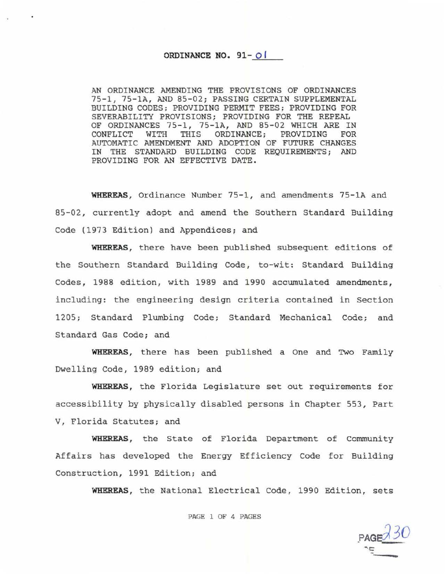## ORDINANCE NO. 91-0 I

AN ORDINANCE AMENDING THE PROVISIONS OF ORDINANCES 75-1, 75-1A, AND 85-02; PASSING CERTAIN SUPPLEMENTAL BUILDING CODES; PROVIDING PERMIT FEES: PROVIDING FOR SEVERABILITY PROVISIONS; PROVIDING FOR THE REPEAL OF ORDINANCES 75-1, 75-1A, AND 85-02 WHICH ARE IN CONFLICT WITH THIS ORDINANCE; PROVIDING FOR ORDINANCE; PROVIDING FOR AUTOMATIC AMENDMENT AND ADOPTION OF FUTURE CHANGES IN THE STANDARD BUILDING CODE REQUIREMENTS; AND PROVIDING FOR AN EFFECTIVE DATE.

WHEREAS, Ordinance Number 75-1, and amendments 75-1A and 85-02, currently adopt and amend the Southern Standard Building Code (1973 Edition) and Appendices; and

**WHEREAS ,** there have been publi shed subsequent editions of the Southern Standard Building Code, to-wit: Standard Building Codes, 1988 edition, with 1989 and 1990 accumulated amendments, including: the engineering design criteria contained in Section 1205; Standard Plumbing Code; Standard Mechanical Code; and Standard Gas Code; and

**WHEREAS ,** there has been published a One and Two Family Dwelling Code, 1989 edition; and

**WHEREAS,** the Florida Legislature set out requirements for accessibility by physically disabled persons in Chapter 553, Part V, Florida Statutes; and

**WHEREAS ,** the State of Florida Department of Community Affairs has developed the Energy Efficiency Code for Building Construction, 1991 Edition; and

WHEREAS, the National Electrical Code, 1990 Edition, sets

## PAGE 1 OF 4 PAGES

*'"'C::*  ·---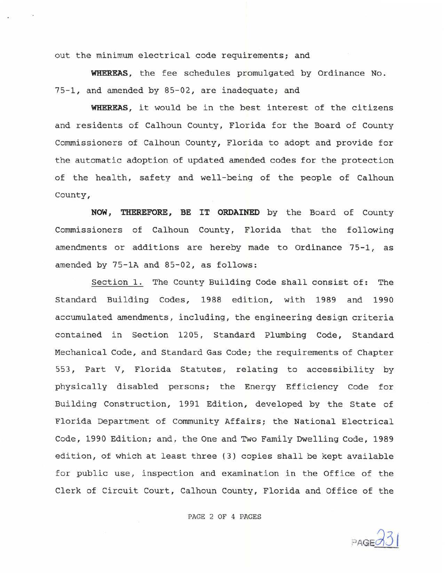out the minimum electrical code requirements; and

**WHEREAS,** the fee schedules promulgated by Ordinance No. 75-1, and amended by 85-02, are inadequate; and

**WHEREAS ,** it would be in the best interest of the citizens and residents of Calhoun County, Florida for the Board of County Commissioners of Calhoun County, Florida to adopt and provide for the automatic adoption of updated amended codes for the protection of the health, safety and well- being of the people of Calhoun County,

**NOW** *1* **THEREFORE, BE IT ORDAINED** by the Board of County Commissioners of Calhoun County, Florida that the following amendments or additions are hereby made to Ordinance 75-1, as amended by 75-1A and 85-02, as follows:

Section 1. The County Building Code shall consist of: The Standard Building Codes, 1988 edition, with 1989 and 1990 accumulated amendments , including , the engineering design criteria contained in Section 1205, Standard Plumbing Code, Standard Mechanical Code, and Standard Gas Code; the requirements of Chapter 553, Part V, Florida Statutes, relating to accessibility by physically disabled persons; the Energy Efficiency Code for Building Construction, 1991 Edition, developed by the State of Florida Department of Community Affairs; the National Electrical Code, 1990 Edition; and, the One and Two Family Dwelling Code, 1989 edition, of which at least three (3) copies shall be kept available for public use, inspection and examination in the Office of the Clerk of Circuit Court, Calhoun County, Florida and Office of the

PAGE 2 OF 4 PAGES

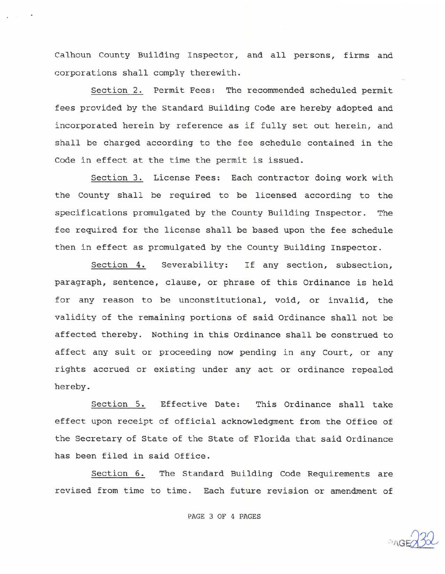Calhoun County Building Inspector, and all persons, firms and corporations shall comply therewith.

Section 2. Permit Fees: The recommended scheduled permit fees provided by the Standard Building Code are hereby adopted and incorporated herein by reference as if fully set out herein, and shall be charged according to the fee schedule contained in the Code in effect at the time the permit is issued.

Section 3. License Fees: Each contractor doing work with the County shall be required to be licensed according to the specifications promulgated by the County Building Inspector. The fee required for the license shall be based upon the fee schedule then in effect as promulgated by the County Building Inspector.

Section 4. Severability: If any section, subsection, paragraph, sentence, clause, or phrase of this Ordinance is held for any reason to be unconstitutional, void, or invalid, the validity of the remaining portions of said Ordinance shall not be affected thereby. Nothing in this Ordinance shall be construed to affect any suit or proceeding now pending in any Court, or any rights accrued or existing under any act or ordinance repealed hereby.

Section 5. Effective Date: This Ordinance shall take effect upon receipt of official acknowledgment from the Office of the Secretary of State of the State of Florida that said Ordinance has been filed in said Office.

Section 6. The Standard Building Code Requirements are revised from time to time. Each future revision or amendment of

PAGE 3 OF 4 PAGES